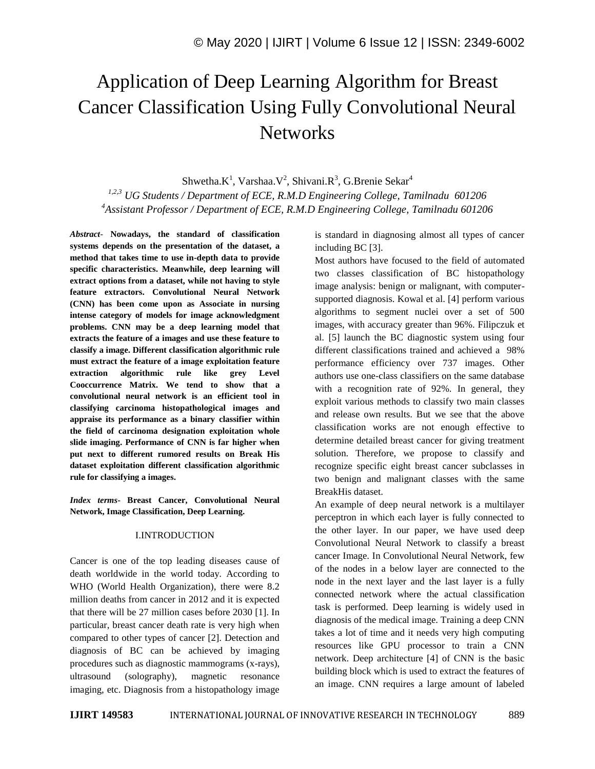# Application of Deep Learning Algorithm for Breast Cancer Classification Using Fully Convolutional Neural **Networks**

Shwetha. $K^1$ , Varshaa. $V^2$ , Shivani. $R^3$ , G.Brenie Sekar<sup>4</sup>

*1,2,3 UG Students / Department of ECE, R.M.D Engineering College, Tamilnadu 601206 <sup>4</sup>Assistant Professor / Department of ECE, R.M.D Engineering College, Tamilnadu 601206*

*Abstract*- **Nowadays, the standard of classification systems depends on the presentation of the dataset, a method that takes time to use in-depth data to provide specific characteristics. Meanwhile, deep learning will extract options from a dataset, while not having to style feature extractors. Convolutional Neural Network (CNN) has been come upon as Associate in nursing intense category of models for image acknowledgment problems. CNN may be a deep learning model that extracts the feature of a images and use these feature to classify a image. Different classification algorithmic rule must extract the feature of a image exploitation feature extraction algorithmic rule like grey Level Cooccurrence Matrix. We tend to show that a convolutional neural network is an efficient tool in classifying carcinoma histopathological images and appraise its performance as a binary classifier within the field of carcinoma designation exploitation whole slide imaging. Performance of CNN is far higher when put next to different rumored results on Break His dataset exploitation different classification algorithmic rule for classifying a images.**

*Index terms***- Breast Cancer, Convolutional Neural Network, Image Classification, Deep Learning.**

## I.INTRODUCTION

Cancer is one of the top leading diseases cause of death worldwide in the world today. According to WHO (World Health Organization), there were 8.2 million deaths from cancer in 2012 and it is expected that there will be 27 million cases before 2030 [1]. In particular, breast cancer death rate is very high when compared to other types of cancer [2]. Detection and diagnosis of BC can be achieved by imaging procedures such as diagnostic mammograms (x-rays), ultrasound (solography), magnetic resonance imaging, etc. Diagnosis from a histopathology image

is standard in diagnosing almost all types of cancer including BC [3].

Most authors have focused to the field of automated two classes classification of BC histopathology image analysis: benign or malignant, with computersupported diagnosis. Kowal et al. [4] perform various algorithms to segment nuclei over a set of 500 images, with accuracy greater than 96%. Filipczuk et al. [5] launch the BC diagnostic system using four different classifications trained and achieved a 98% performance efficiency over 737 images. Other authors use one-class classifiers on the same database with a recognition rate of 92%. In general, they exploit various methods to classify two main classes and release own results. But we see that the above classification works are not enough effective to determine detailed breast cancer for giving treatment solution. Therefore, we propose to classify and recognize specific eight breast cancer subclasses in two benign and malignant classes with the same BreakHis dataset.

An example of deep neural network is a multilayer perceptron in which each layer is fully connected to the other layer. In our paper, we have used deep Convolutional Neural Network to classify a breast cancer Image. In Convolutional Neural Network, few of the nodes in a below layer are connected to the node in the next layer and the last layer is a fully connected network where the actual classification task is performed. Deep learning is widely used in diagnosis of the medical image. Training a deep CNN takes a lot of time and it needs very high computing resources like GPU processor to train a CNN network. Deep architecture [4] of CNN is the basic building block which is used to extract the features of an image. CNN requires a large amount of labeled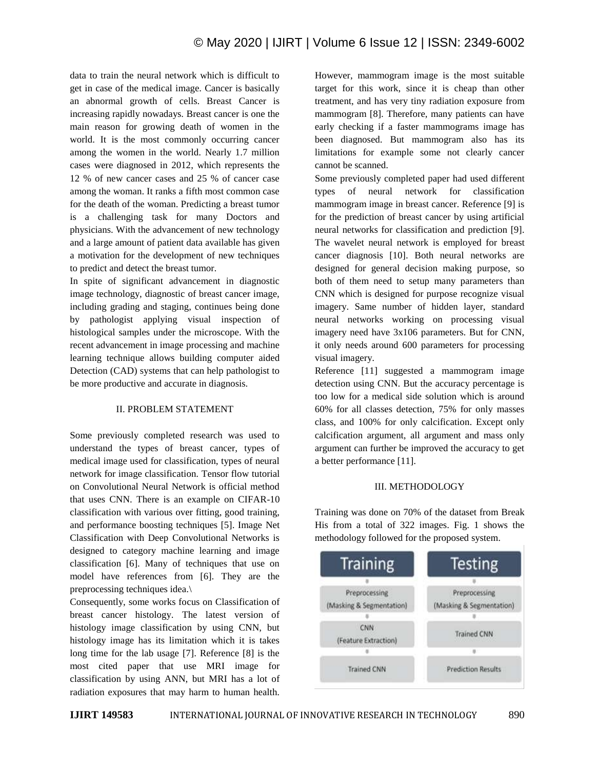data to train the neural network which is difficult to get in case of the medical image. Cancer is basically an abnormal growth of cells. Breast Cancer is increasing rapidly nowadays. Breast cancer is one the main reason for growing death of women in the world. It is the most commonly occurring cancer among the women in the world. Nearly 1.7 million cases were diagnosed in 2012, which represents the 12 % of new cancer cases and 25 % of cancer case among the woman. It ranks a fifth most common case for the death of the woman. Predicting a breast tumor is a challenging task for many Doctors and physicians. With the advancement of new technology and a large amount of patient data available has given a motivation for the development of new techniques to predict and detect the breast tumor.

In spite of significant advancement in diagnostic image technology, diagnostic of breast cancer image, including grading and staging, continues being done by pathologist applying visual inspection of histological samples under the microscope. With the recent advancement in image processing and machine learning technique allows building computer aided Detection (CAD) systems that can help pathologist to be more productive and accurate in diagnosis.

## II. PROBLEM STATEMENT

Some previously completed research was used to understand the types of breast cancer, types of medical image used for classification, types of neural network for image classification. Tensor flow tutorial on Convolutional Neural Network is official method that uses CNN. There is an example on CIFAR-10 classification with various over fitting, good training, and performance boosting techniques [5]. Image Net Classification with Deep Convolutional Networks is designed to category machine learning and image classification [6]. Many of techniques that use on model have references from [6]. They are the preprocessing techniques idea.\

Consequently, some works focus on Classification of breast cancer histology. The latest version of histology image classification by using CNN, but histology image has its limitation which it is takes long time for the lab usage [7]. Reference [8] is the most cited paper that use MRI image for classification by using ANN, but MRI has a lot of radiation exposures that may harm to human health. However, mammogram image is the most suitable target for this work, since it is cheap than other treatment, and has very tiny radiation exposure from mammogram [8]. Therefore, many patients can have early checking if a faster mammograms image has been diagnosed. But mammogram also has its limitations for example some not clearly cancer cannot be scanned.

Some previously completed paper had used different types of neural network for classification mammogram image in breast cancer. Reference [9] is for the prediction of breast cancer by using artificial neural networks for classification and prediction [9]. The wavelet neural network is employed for breast cancer diagnosis [10]. Both neural networks are designed for general decision making purpose, so both of them need to setup many parameters than CNN which is designed for purpose recognize visual imagery. Same number of hidden layer, standard neural networks working on processing visual imagery need have 3x106 parameters. But for CNN, it only needs around 600 parameters for processing visual imagery.

Reference [11] suggested a mammogram image detection using CNN. But the accuracy percentage is too low for a medical side solution which is around 60% for all classes detection, 75% for only masses class, and 100% for only calcification. Except only calcification argument, all argument and mass only argument can further be improved the accuracy to get a better performance [11].

## III. METHODOLOGY

Training was done on 70% of the dataset from Break His from a total of 322 images. Fig. 1 shows the methodology followed for the proposed system.

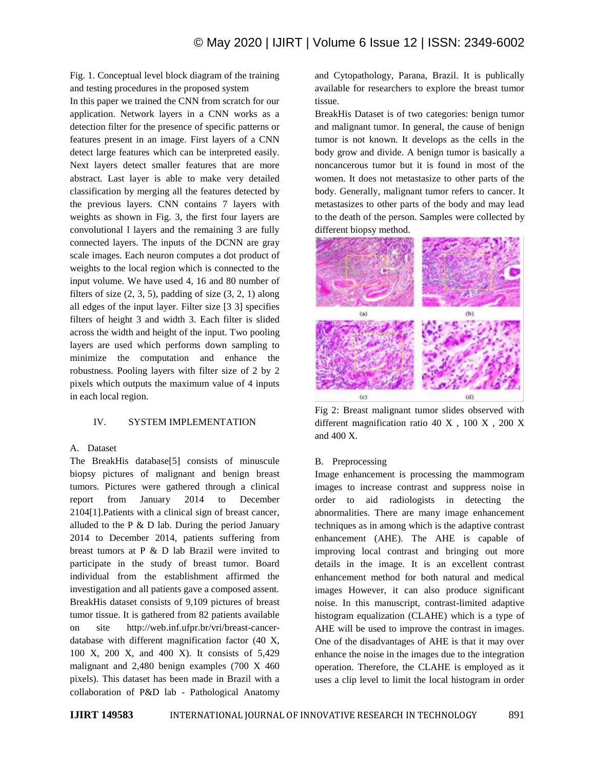Fig. 1. Conceptual level block diagram of the training and testing procedures in the proposed system

In this paper we trained the CNN from scratch for our application. Network layers in a CNN works as a detection filter for the presence of specific patterns or features present in an image. First layers of a CNN detect large features which can be interpreted easily. Next layers detect smaller features that are more abstract. Last layer is able to make very detailed classification by merging all the features detected by the previous layers. CNN contains 7 layers with weights as shown in Fig. 3, the first four layers are convolutional l layers and the remaining 3 are fully connected layers. The inputs of the DCNN are gray scale images. Each neuron computes a dot product of weights to the local region which is connected to the input volume. We have used 4, 16 and 80 number of filters of size  $(2, 3, 5)$ , padding of size  $(3, 2, 1)$  along all edges of the input layer. Filter size [3 3] specifies filters of height 3 and width 3. Each filter is slided across the width and height of the input. Two pooling layers are used which performs down sampling to minimize the computation and enhance the robustness. Pooling layers with filter size of 2 by 2 pixels which outputs the maximum value of 4 inputs in each local region.

## IV. SYSTEM IMPLEMENTATION

## A. Dataset

The BreakHis database[5] consists of minuscule biopsy pictures of malignant and benign breast tumors. Pictures were gathered through a clinical report from January 2014 to December 2104[1].Patients with a clinical sign of breast cancer, alluded to the  $P \& D$  lab. During the period January 2014 to December 2014, patients suffering from breast tumors at P & D lab Brazil were invited to participate in the study of breast tumor. Board individual from the establishment affirmed the investigation and all patients gave a composed assent. BreakHis dataset consists of 9,109 pictures of breast tumor tissue. It is gathered from 82 patients available on site http://web.inf.ufpr.br/vri/breast-cancerdatabase with different magnification factor (40 X, 100 X, 200 X, and 400 X). It consists of 5,429 malignant and 2,480 benign examples (700 X 460 pixels). This dataset has been made in Brazil with a collaboration of P&D lab - Pathological Anatomy and Cytopathology, Parana, Brazil. It is publically available for researchers to explore the breast tumor tissue.

BreakHis Dataset is of two categories: benign tumor and malignant tumor. In general, the cause of benign tumor is not known. It develops as the cells in the body grow and divide. A benign tumor is basically a noncancerous tumor but it is found in most of the women. It does not metastasize to other parts of the body. Generally, malignant tumor refers to cancer. It metastasizes to other parts of the body and may lead to the death of the person. Samples were collected by different biopsy method.



Fig 2: Breast malignant tumor slides observed with different magnification ratio 40 X , 100 X , 200 X and 400 X.

## B. Preprocessing

Image enhancement is processing the mammogram images to increase contrast and suppress noise in order to aid radiologists in detecting the abnormalities. There are many image enhancement techniques as in among which is the adaptive contrast enhancement (AHE). The AHE is capable of improving local contrast and bringing out more details in the image. It is an excellent contrast enhancement method for both natural and medical images However, it can also produce significant noise. In this manuscript, contrast-limited adaptive histogram equalization (CLAHE) which is a type of AHE will be used to improve the contrast in images. One of the disadvantages of AHE is that it may over enhance the noise in the images due to the integration operation. Therefore, the CLAHE is employed as it uses a clip level to limit the local histogram in order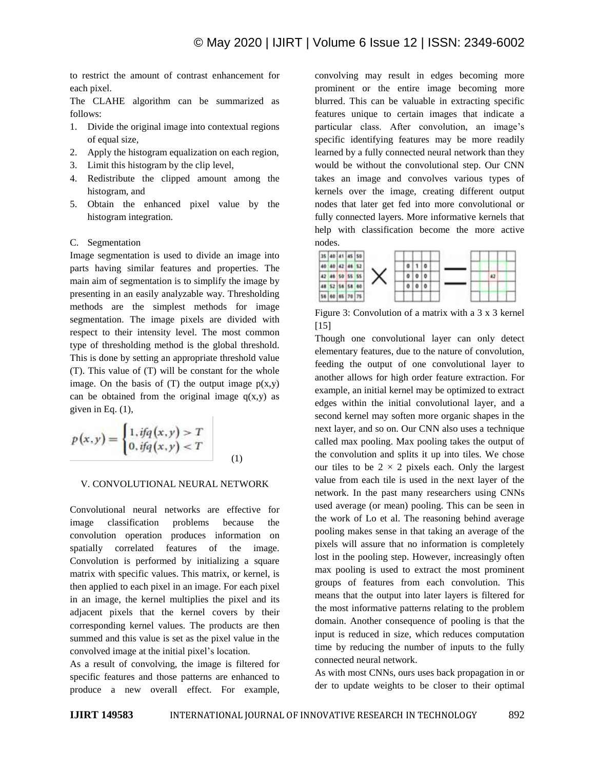to restrict the amount of contrast enhancement for each pixel.

The CLAHE algorithm can be summarized as follows:

- 1. Divide the original image into contextual regions of equal size,
- 2. Apply the histogram equalization on each region,
- 3. Limit this histogram by the clip level,
- 4. Redistribute the clipped amount among the histogram, and
- 5. Obtain the enhanced pixel value by the histogram integration.

#### C. Segmentation

Image segmentation is used to divide an image into parts having similar features and properties. The main aim of segmentation is to simplify the image by presenting in an easily analyzable way. Thresholding methods are the simplest methods for image segmentation. The image pixels are divided with respect to their intensity level. The most common type of thresholding method is the global threshold. This is done by setting an appropriate threshold value (T). This value of (T) will be constant for the whole image. On the basis of  $(T)$  the output image  $p(x,y)$ can be obtained from the original image  $q(x,y)$  as given in Eq. (1),

$$
p(x,y) = \begin{cases} 1, & \text{if } q(x,y) > T \\ 0, & \text{if } q(x,y) < T \end{cases}
$$
 (1)

#### V. CONVOLUTIONAL NEURAL NETWORK

Convolutional neural networks are effective for image classification problems because the convolution operation produces information on spatially correlated features of the image. Convolution is performed by initializing a square matrix with specific values. This matrix, or kernel, is then applied to each pixel in an image. For each pixel in an image, the kernel multiplies the pixel and its adjacent pixels that the kernel covers by their corresponding kernel values. The products are then summed and this value is set as the pixel value in the convolved image at the initial pixel's location.

As a result of convolving, the image is filtered for specific features and those patterns are enhanced to produce a new overall effect. For example, convolving may result in edges becoming more prominent or the entire image becoming more blurred. This can be valuable in extracting specific features unique to certain images that indicate a particular class. After convolution, an image's specific identifying features may be more readily learned by a fully connected neural network than they would be without the convolutional step. Our CNN takes an image and convolves various types of kernels over the image, creating different output nodes that later get fed into more convolutional or fully connected layers. More informative kernels that help with classification become the more active nodes.



Figure 3: Convolution of a matrix with a 3 x 3 kernel [15]

Though one convolutional layer can only detect elementary features, due to the nature of convolution, feeding the output of one convolutional layer to another allows for high order feature extraction. For example, an initial kernel may be optimized to extract edges within the initial convolutional layer, and a second kernel may soften more organic shapes in the next layer, and so on. Our CNN also uses a technique called max pooling. Max pooling takes the output of the convolution and splits it up into tiles. We chose our tiles to be  $2 \times 2$  pixels each. Only the largest value from each tile is used in the next layer of the network. In the past many researchers using CNNs used average (or mean) pooling. This can be seen in the work of Lo et al. The reasoning behind average pooling makes sense in that taking an average of the pixels will assure that no information is completely lost in the pooling step. However, increasingly often max pooling is used to extract the most prominent groups of features from each convolution. This means that the output into later layers is filtered for the most informative patterns relating to the problem domain. Another consequence of pooling is that the input is reduced in size, which reduces computation time by reducing the number of inputs to the fully connected neural network.

As with most CNNs, ours uses back propagation in or der to update weights to be closer to their optimal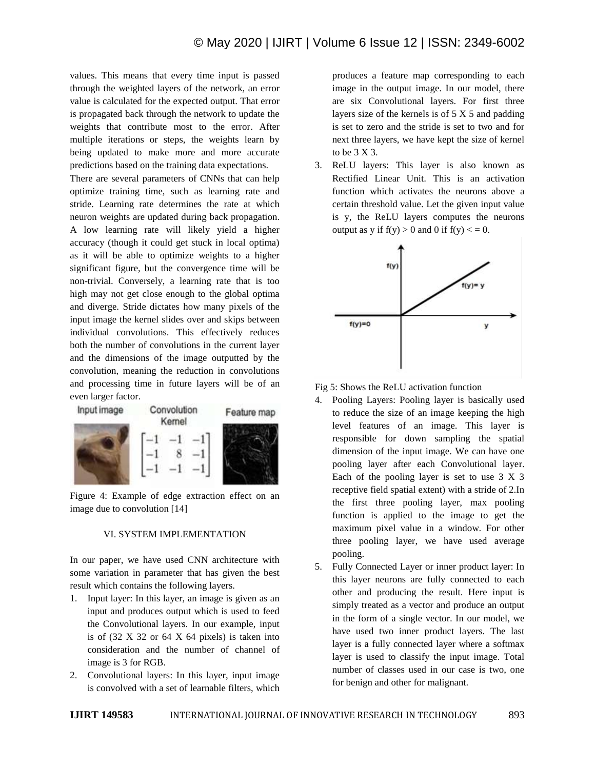values. This means that every time input is passed through the weighted layers of the network, an error value is calculated for the expected output. That error is propagated back through the network to update the weights that contribute most to the error. After multiple iterations or steps, the weights learn by being updated to make more and more accurate predictions based on the training data expectations.

There are several parameters of CNNs that can help optimize training time, such as learning rate and stride. Learning rate determines the rate at which neuron weights are updated during back propagation. A low learning rate will likely yield a higher accuracy (though it could get stuck in local optima) as it will be able to optimize weights to a higher significant figure, but the convergence time will be non-trivial. Conversely, a learning rate that is too high may not get close enough to the global optima and diverge. Stride dictates how many pixels of the input image the kernel slides over and skips between individual convolutions. This effectively reduces both the number of convolutions in the current layer and the dimensions of the image outputted by the convolution, meaning the reduction in convolutions and processing time in future layers will be of an even larger factor.



Figure 4: Example of edge extraction effect on an image due to convolution [14]

## VI. SYSTEM IMPLEMENTATION

In our paper, we have used CNN architecture with some variation in parameter that has given the best result which contains the following layers.

- 1. Input layer: In this layer, an image is given as an input and produces output which is used to feed the Convolutional layers. In our example, input is of  $(32 \times 32)$  or  $64 \times 64$  pixels) is taken into consideration and the number of channel of image is 3 for RGB.
- 2. Convolutional layers: In this layer, input image is convolved with a set of learnable filters, which

produces a feature map corresponding to each image in the output image. In our model, there are six Convolutional layers. For first three layers size of the kernels is of 5 X 5 and padding is set to zero and the stride is set to two and for next three layers, we have kept the size of kernel to be 3 X 3.

3. ReLU layers: This layer is also known as Rectified Linear Unit. This is an activation function which activates the neurons above a certain threshold value. Let the given input value is y, the ReLU layers computes the neurons output as y if  $f(y) > 0$  and 0 if  $f(y) < 0$ .



Fig 5: Shows the ReLU activation function

- 4. Pooling Layers: Pooling layer is basically used to reduce the size of an image keeping the high level features of an image. This layer is responsible for down sampling the spatial dimension of the input image. We can have one pooling layer after each Convolutional layer. Each of the pooling layer is set to use 3 X 3 receptive field spatial extent) with a stride of 2.In the first three pooling layer, max pooling function is applied to the image to get the maximum pixel value in a window. For other three pooling layer, we have used average pooling.
- 5. Fully Connected Layer or inner product layer: In this layer neurons are fully connected to each other and producing the result. Here input is simply treated as a vector and produce an output in the form of a single vector. In our model, we have used two inner product layers. The last layer is a fully connected layer where a softmax layer is used to classify the input image. Total number of classes used in our case is two, one for benign and other for malignant.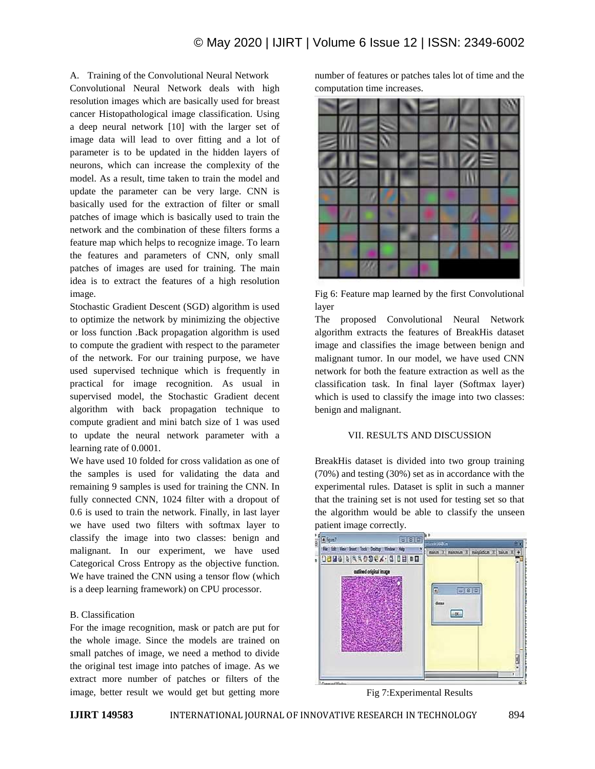A. Training of the Convolutional Neural Network

Convolutional Neural Network deals with high resolution images which are basically used for breast cancer Histopathological image classification. Using a deep neural network [10] with the larger set of image data will lead to over fitting and a lot of parameter is to be updated in the hidden layers of neurons, which can increase the complexity of the model. As a result, time taken to train the model and update the parameter can be very large. CNN is basically used for the extraction of filter or small patches of image which is basically used to train the network and the combination of these filters forms a feature map which helps to recognize image. To learn the features and parameters of CNN, only small patches of images are used for training. The main idea is to extract the features of a high resolution image.

Stochastic Gradient Descent (SGD) algorithm is used to optimize the network by minimizing the objective or loss function .Back propagation algorithm is used to compute the gradient with respect to the parameter of the network. For our training purpose, we have used supervised technique which is frequently in practical for image recognition. As usual in supervised model, the Stochastic Gradient decent algorithm with back propagation technique to compute gradient and mini batch size of 1 was used to update the neural network parameter with a learning rate of 0.0001.

We have used 10 folded for cross validation as one of the samples is used for validating the data and remaining 9 samples is used for training the CNN. In fully connected CNN, 1024 filter with a dropout of 0.6 is used to train the network. Finally, in last layer we have used two filters with softmax layer to classify the image into two classes: benign and malignant. In our experiment, we have used Categorical Cross Entropy as the objective function. We have trained the CNN using a tensor flow (which is a deep learning framework) on CPU processor.

## B. Classification

For the image recognition, mask or patch are put for the whole image. Since the models are trained on small patches of image, we need a method to divide the original test image into patches of image. As we extract more number of patches or filters of the image, better result we would get but getting more

number of features or patches tales lot of time and the computation time increases.



Fig 6: Feature map learned by the first Convolutional layer

The proposed Convolutional Neural Network algorithm extracts the features of BreakHis dataset image and classifies the image between benign and malignant tumor. In our model, we have used CNN network for both the feature extraction as well as the classification task. In final layer (Softmax layer) which is used to classify the image into two classes: benign and malignant.

#### VII. RESULTS AND DISCUSSION

BreakHis dataset is divided into two group training (70%) and testing (30%) set as in accordance with the experimental rules. Dataset is split in such a manner that the training set is not used for testing set so that the algorithm would be able to classify the unseen patient image correctly.



Fig 7:Experimental Results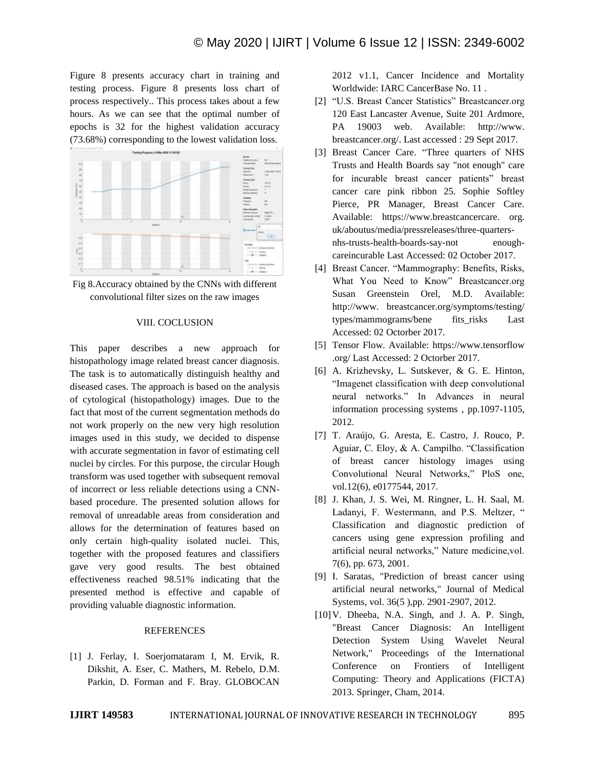Figure 8 presents accuracy chart in training and testing process. Figure 8 presents loss chart of process respectively.. This process takes about a few hours. As we can see that the optimal number of epochs is 32 for the highest validation accuracy (73.68%) corresponding to the lowest validation loss.



Fig 8.Accuracy obtained by the CNNs with different convolutional filter sizes on the raw images

#### VIII. COCLUSION

This paper describes a new approach for histopathology image related breast cancer diagnosis. The task is to automatically distinguish healthy and diseased cases. The approach is based on the analysis of cytological (histopathology) images. Due to the fact that most of the current segmentation methods do not work properly on the new very high resolution images used in this study, we decided to dispense with accurate segmentation in favor of estimating cell nuclei by circles. For this purpose, the circular Hough transform was used together with subsequent removal of incorrect or less reliable detections using a CNNbased procedure. The presented solution allows for removal of unreadable areas from consideration and allows for the determination of features based on only certain high-quality isolated nuclei. This, together with the proposed features and classifiers gave very good results. The best obtained effectiveness reached 98.51% indicating that the presented method is effective and capable of providing valuable diagnostic information.

### **REFERENCES**

[1] J. Ferlay, I. Soerjomataram I, M. Ervik, R. Dikshit, A. Eser, C. Mathers, M. Rebelo, D.M. Parkin, D. Forman and F. Bray. GLOBOCAN

2012 v1.1, Cancer Incidence and Mortality Worldwide: IARC CancerBase No. 11 .

- [2] "U.S. Breast Cancer Statistics" Breastcancer.org 120 East Lancaster Avenue, Suite 201 Ardmore, PA 19003 web. Available: http://www. breastcancer.org/. Last accessed : 29 Sept 2017.
- [3] Breast Cancer Care. "Three quarters of NHS Trusts and Health Boards say "not enough" care for incurable breast cancer patients" breast cancer care pink ribbon 25. Sophie Softley Pierce, PR Manager, Breast Cancer Care. Available: https://www.breastcancercare. org. uk/aboutus/media/pressreleases/three-quartersnhs-trusts-health-boards-say-not enoughcareincurable Last Accessed: 02 October 2017.
- [4] Breast Cancer. "Mammography: Benefits, Risks, What You Need to Know" Breastcancer.org Susan Greenstein Orel, M.D. Available: http://www. breastcancer.org/symptoms/testing/ types/mammograms/bene fits\_risks Last Accessed: 02 Octorber 2017.
- [5] Tensor Flow. Available: https://www.tensorflow .org/ Last Accessed: 2 Octorber 2017.
- [6] A. Krizhevsky, L. Sutskever, & G. E. Hinton, "Imagenet classification with deep convolutional neural networks." In Advances in neural information processing systems , pp.1097-1105, 2012.
- [7] T. Araújo, G. Aresta, E. Castro, J. Rouco, P. Aguiar, C. Eloy, & A. Campilho. "Classification of breast cancer histology images using Convolutional Neural Networks," PloS one, vol.12(6), e0177544, 2017.
- [8] J. Khan, J. S. Wei, M. Ringner, L. H. Saal, M. Ladanyi, F. Westermann, and P.S. Meltzer, " Classification and diagnostic prediction of cancers using gene expression profiling and artificial neural networks," Nature medicine,vol. 7(6), pp. 673, 2001.
- [9] I. Saratas, "Prediction of breast cancer using artificial neural networks," Journal of Medical Systems, vol. 36(5 ),pp. 2901-2907, 2012.
- [10]V. Dheeba, N.A. Singh, and J. A. P. Singh, "Breast Cancer Diagnosis: An Intelligent Detection System Using Wavelet Neural Network," Proceedings of the International Conference on Frontiers of Intelligent Computing: Theory and Applications (FICTA) 2013. Springer, Cham, 2014.

| <b>IJIRT 149583</b><br>INTERNATIONAL JOURNAL OF INNOVATIVE RESEARCH IN TECHNOLOGY | 895 |
|-----------------------------------------------------------------------------------|-----|
|-----------------------------------------------------------------------------------|-----|